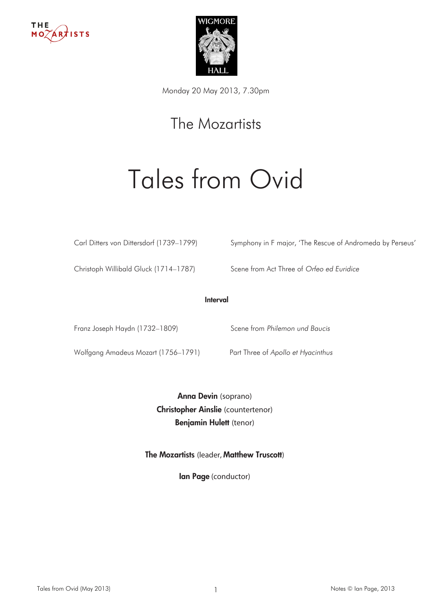



Monday 20 May 2013, 7.30pm

## The Mozartists

# Tales from Ovid

Carl Ditters von Dittersdorf (1739–1799) Symphony in F major, 'The Rescue of Andromeda by Perseus'

Christoph Willibald Gluck (1714–1787) Scene from Act Three of Orfeo ed Euridice

#### Interval

Franz Joseph Haydn (1732–1809) Scene from Philemon und Baucis

Wolfgang Amadeus Mozart (1756–1791) Part Three of Apollo et Hyacinthus

Anna Devin (soprano) Christopher Ainslie (countertenor) Benjamin Hulett (tenor)

The Mozartists (leader, Matthew Truscott)

lan Page (conductor)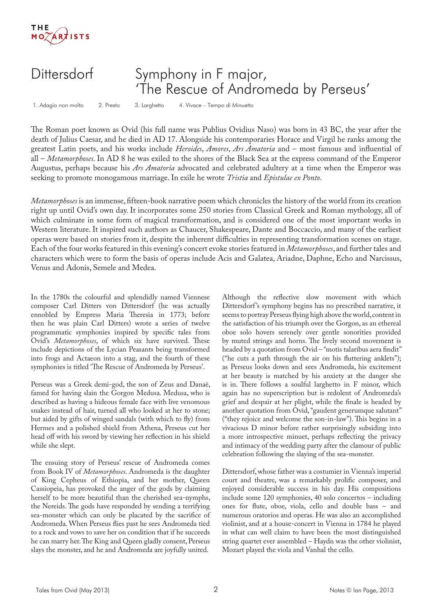

### Dittersdorf Symphony in F major, 'The Rescue of Andromeda by Perseus'

1. Adagio non molto 2. Presto 3. Larghetto 4. Vivace – Tempo di Minuetto

The Roman poet known as Ovid (his full name was Publius Ovidius Naso) was born in 43 BC, the year after the death of Julius Caesar, and he died in AD 17. Alongside his contemporaries Horace and Virgil he ranks among the greatest Latin poets, and his works include *Heroides*, *Amores*, *Ars Amatoria* and – most famous and influential of all – *Metamorphoses*. In AD 8 he was exiled to the shores of the Black Sea at the express command of the Emperor Augustus, perhaps because his *Ars Amatoria* advocated and celebrated adultery at a time when the Emperor was seeking to promote monogamous marriage. In exile he wrote *Tristia* and *Epistulae ex Ponto*.

*Metamorphoses* is an immense, fifteen-book narrative poem which chronicles the history of the world from its creation right up until Ovid's own day. It incorporates some 250 stories from Classical Greek and Roman mythology, all of which culminate in some form of magical transformation, and is considered one of the most important works in Western literature. It inspired such authors as Chaucer, Shakespeare, Dante and Boccaccio, and many of the earliest operas were based on stories from it, despite the inherent difficulties in representing transformation scenes on stage. Each of the four works featured in this evening's concert evoke stories featured in *Metamorphoses*, and further tales and characters which were to form the basis of operas include Acis and Galatea, Ariadne, Daphne, Echo and Narcissus, Venus and Adonis, Semele and Medea.

In the 1780s the colourful and splendidly named Viennese composer Carl Ditters von Dittersdorf (he was actually ennobled by Empress Maria Theresia in 1773; before then he was plain Carl Ditters) wrote a series of twelve programmatic symphonies inspired by specific tales from Ovid's *Metamorphoses*, of which six have survived. These include depictions of the Lycian Peasants being transformed into frogs and Actaeon into a stag, and the fourth of these symphonies is titled 'The Rescue of Andromeda by Perseus'.

Perseus was a Greek demi-god, the son of Zeus and Danaë, famed for having slain the Gorgon Medusa. Medusa, who is described as having a hideous female face with live venomous snakes instead of hair, turned all who looked at her to stone; but aided by gifts of winged sandals (with which to fly) from Hermes and a polished shield from Athena, Perseus cut her head off with his sword by viewing her reflection in his shield while she slept.

The ensuing story of Perseus' rescue of Andromeda comes from Book IV of *Metamorphoses*. Andromeda is the daughter of King Cepheus of Ethiopia, and her mother, Queen Cassiopeia, has provoked the anger of the gods by claiming herself to be more beautiful than the cherished sea-nymphs, the Nereids. The gods have responded by sending a terrifying sea-monster which can only be placated by the sacrifice of Andromeda. When Perseus flies past he sees Andromeda tied to a rock and vows to save her on condition that if he succeeds he can marry her. The King and Queen gladly consent, Perseus slays the monster, and he and Andromeda are joyfully united.

Although the reflective slow movement with which Dittersdorf's symphony begins has no prescribed narrative, it seems to portray Perseus flying high above the world, content in the satisfaction of his triumph over the Gorgon, as an ethereal oboe solo hovers serenely over gentle sonorities provided by muted strings and horns. The lively second movement is headed by a quotation from Ovid – "motis talaribus aera findit" ("he cuts a path through the air on his fluttering anklets"); as Perseus looks down and sees Andromeda, his excitement at her beauty is matched by his anxiety at the danger she is in. There follows a soulful larghetto in F minor, which again has no superscription but is redolent of Andromeda's grief and despair at her plight, while the finale is headed by another quotation from Ovid, "gaudent generumque salutant" ("they rejoice and welcome the son-in-law"). This begins in a vivacious D minor before rather surprisingly subsiding into a more introspective minuet, perhaps reflecting the privacy and intimacy of the wedding party after the clamour of public celebration following the slaying of the sea-monster.

Dittersdorf, whose father was a costumier in Vienna's imperial court and theatre, was a remarkably prolific composer, and enjoyed considerable success in his day. His compositions include some 120 symphonies, 40 solo concertos – including ones for flute, oboe, viola, cello and double bass – and numerous oratorios and operas. He was also an accomplished violinist, and at a house-concert in Vienna in 1784 he played in what can well claim to have been the most distinguished string quartet ever assembled – Haydn was the other violinist, Mozart played the viola and Vanhal the cello.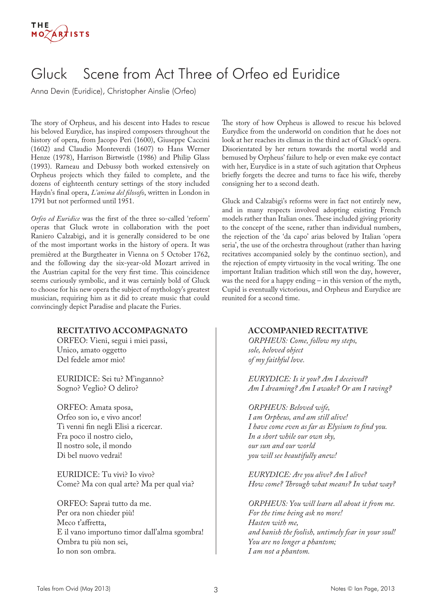## Gluck Scene from Act Three of Orfeo ed Euridice

Anna Devin (Euridice), Christopher Ainslie (Orfeo)

The story of Orpheus, and his descent into Hades to rescue his beloved Eurydice, has inspired composers throughout the history of opera, from Jacopo Peri (1600), Giuseppe Caccini (1602) and Claudio Monteverdi (1607) to Hans Werner Henze (1978), Harrison Birtwistle (1986) and Philip Glass (1993). Rameau and Debussy both worked extensively on Orpheus projects which they failed to complete, and the dozens of eighteenth century settings of the story included Haydn's final opera, *L'anima del filosofo*, written in London in 1791 but not performed until 1951.

*Orfeo ed Euridice* was the first of the three so-called 'reform' operas that Gluck wrote in collaboration with the poet Raniero Calzabigi, and it is generally considered to be one of the most important works in the history of opera. It was premièred at the Burgtheater in Vienna on 5 October 1762, and the following day the six-year-old Mozart arrived in the Austrian capital for the very first time. This coincidence seems curiously symbolic, and it was certainly bold of Gluck to choose for his new opera the subject of mythology's greatest musician, requiring him as it did to create music that could convincingly depict Paradise and placate the Furies.

#### **RECITATIVO ACCOMPAGNATO**

ORFEO: Vieni, segui i miei passi, Unico, amato oggetto Del fedele amor mio!

EURIDICE: Sei tu? M'inganno? Sogno? Veglio? O deliro?

ORFEO: Amata sposa, Orfeo son io, e vivo ancor! Ti venni fin negli Elisi a ricercar. Fra poco il nostro cielo, Il nostro sole, il mondo Di bel nuovo vedrai!

EURIDICE: Tu vivi? Io vivo? Come? Ma con qual arte? Ma per qual via?

ORFEO: Saprai tutto da me. Per ora non chieder più! Meco t'affretta, E il vano importuno timor dall'alma sgombra! Ombra tu più non sei, Io non son ombra.

The story of how Orpheus is allowed to rescue his beloved Eurydice from the underworld on condition that he does not look at her reaches its climax in the third act of Gluck's opera. Disorientated by her return towards the mortal world and bemused by Orpheus' failure to help or even make eye contact with her, Eurydice is in a state of such agitation that Orpheus briefly forgets the decree and turns to face his wife, thereby consigning her to a second death.

Gluck and Calzabigi's reforms were in fact not entirely new, and in many respects involved adopting existing French models rather than Italian ones. These included giving priority to the concept of the scene, rather than individual numbers, the rejection of the 'da capo' arias beloved by Italian 'opera seria', the use of the orchestra throughout (rather than having recitatives accompanied solely by the continuo section), and the rejection of empty virtuosity in the vocal writing. The one important Italian tradition which still won the day, however, was the need for a happy ending – in this version of the myth, Cupid is eventually victorious, and Orpheus and Eurydice are reunited for a second time.

#### **ACCOMPANIED RECITATIVE**

*ORPHEUS: Come, follow my steps, sole, beloved object of my faithful love.*

*EURYDICE: Is it you? Am I deceived? Am I dreaming? Am I awake? Or am I raving?*

*ORPHEUS: Beloved wife, I am Orpheus, and am still alive! I have come even as far as Elysium to find you. In a short while our own sky, our sun and our world you will see beautifully anew!*

*EURYDICE: Are you alive? Am I alive? How come? Through what means? In what way?*

*ORPHEUS: You will learn all about it from me. For the time being ask no more! Hasten with me, and banish the foolish, untimely fear in your soul! You are no longer a phantom; I am not a phantom.*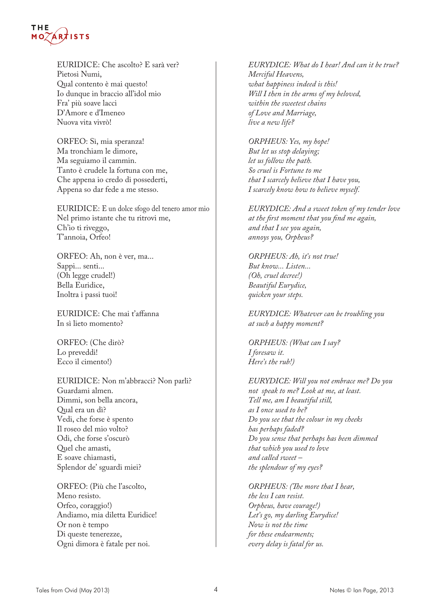

EURIDICE: Che ascolto? E sarà ver? Pietosi Numi, Qual contento è mai questo! Io dunque in braccio all'idol mio Fra' più soave lacci D'Amore e d'Imeneo Nuova vita vivrò!

ORFEO: Sì, mia speranza! Ma tronchiam le dimore, Ma seguiamo il cammin. Tanto è crudele la fortuna con me, Che appena io credo di possederti, Appena so dar fede a me stesso.

EURIDICE: E un dolce sfogo del tenero amor mio Nel primo istante che tu ritrovi me, Ch'io ti riveggo, T'annoia, Orfeo!

ORFEO: Ah, non è ver, ma... Sappi... senti... (Oh legge crudel!) Bella Euridice, Inoltra i passi tuoi!

EURIDICE: Che mai t'affanna In sì lieto momento?

ORFEO: (Che dirò? Lo preveddi! Ecco il cimento!)

EURIDICE: Non m'abbracci? Non parli? Guardami almen. Dimmi, son bella ancora, Qual era un dì? Vedi, che forse è spento Il roseo del mio volto? Odi, che forse s'oscurò Quel che amasti, E soave chiamasti, Splendor de' sguardi miei?

ORFEO: (Più che l'ascolto, Meno resisto. Orfeo, coraggio!) Andiamo, mia diletta Euridice! Or non è tempo Di queste tenerezze, Ogni dimora è fatale per noi.

*EURYDICE: What do I hear! And can it be true? Merciful Heavens, what happiness indeed is this! Will I then in the arms of my beloved, within the sweetest chains of Love and Marriage, live a new life?*

*ORPHEUS: Yes, my hope! But let us stop delaying; let us follow the path. So cruel is Fortune to me that I scarcely believe that I have you, I scarcely know how to believe myself.*

*EURYDICE: And a sweet token of my tender love at the first moment that you find me again, and that I see you again, annoys you, Orpheus?*

*ORPHEUS: Ah, it's not true! But know... Listen... (Oh, cruel decree!) Beautiful Eurydice, quicken your steps.*

*EURYDICE: Whatever can be troubling you at such a happy moment?*

*ORPHEUS: (What can I say? I foresaw it. Here's the rub!)*

*EURYDICE: Will you not embrace me? Do you not speak to me? Look at me, at least. Tell me, am I beautiful still, as I once used to be? Do you see that the colour in my cheeks has perhaps faded? Do you sense that perhaps has been dimmed that which you used to love and called sweet – the splendour of my eyes?*

*ORPHEUS: (The more that I hear, the less I can resist. Orpheus, have courage!) Let's go, my darling Eurydice! Now is not the time for these endearments; every delay is fatal for us.*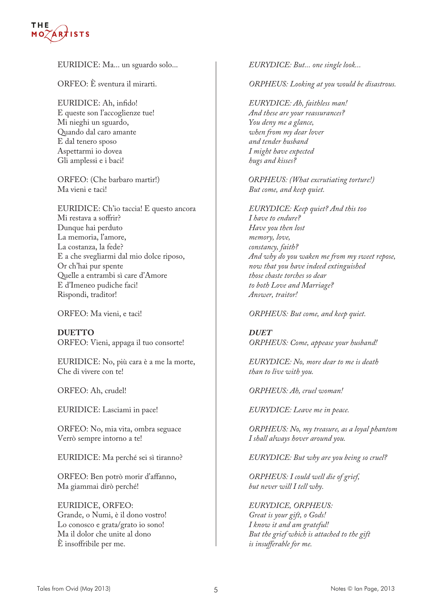#### THE **ARTISTS**  $MO$

EURIDICE: Ma... un sguardo solo...

ORFEO: È sventura il mirarti.

EURIDICE: Ah, infido! E queste son l'accoglienze tue! Mi nieghi un sguardo, Quando dal caro amante E dal tenero sposo Aspettarmi io dovea Gli amplessi e i baci!

ORFEO: (Che barbaro martir!) Ma vieni e taci!

EURIDICE: Ch'io taccia! E questo ancora Mi restava a soffrir? Dunque hai perduto La memoria, l'amore, La costanza, la fede? E a che svegliarmi dal mio dolce riposo, Or ch'hai pur spente Quelle a entrambi sì care d'Amore E d'Imeneo pudiche faci! Rispondi, traditor!

ORFEO: Ma vieni, e taci!

**DUETTO** ORFEO: Vieni, appaga il tuo consorte!

EURIDICE: No, più cara è a me la morte, Che di vivere con te!

ORFEO: Ah, crudel!

EURIDICE: Lasciami in pace!

ORFEO: No, mia vita, ombra seguace Verrò sempre intorno a te!

EURIDICE: Ma perché sei sì tiranno?

ORFEO: Ben potrò morir d'affanno, Ma giammai dirò perché!

EURIDICE, ORFEO: Grande, o Numi, è il dono vostro! Lo conosco e grata/grato io sono! Ma il dolor che unite al dono È insoffribile per me.

*EURYDICE: But... one single look...*

*ORPHEUS: Looking at you would be disastrous.*

*EURYDICE: Ah, faithless man! And these are your reassurances? You deny me a glance, when from my dear lover and tender husband I might have expected hugs and kisses?*

*ORPHEUS: (What excrutiating torture!) But come, and keep quiet.*

*EURYDICE: Keep quiet? And this too I have to endure? Have you then lost memory, love, constancy, faith? And why do you waken me from my sweet repose, now that you have indeed extinguished those chaste torches so dear to both Love and Marriage? Answer, traitor!*

*ORPHEUS: But come, and keep quiet.*

*DUET ORPHEUS: Come, appease your husband!*

*EURYDICE: No, more dear to me is death than to live with you.*

*ORPHEUS: Ah, cruel woman!*

*EURYDICE: Leave me in peace.*

*ORPHEUS: No, my treasure, as a loyal phantom I shall always hover around you.*

*EURYDICE: But why are you being so cruel?*

*ORPHEUS: I could well die of grief, but never will I tell why.*

*EURYDICE, ORPHEUS: Great is your gift, o Gods! I know it and am grateful! But the grief which is attached to the gift is insufferable for me.*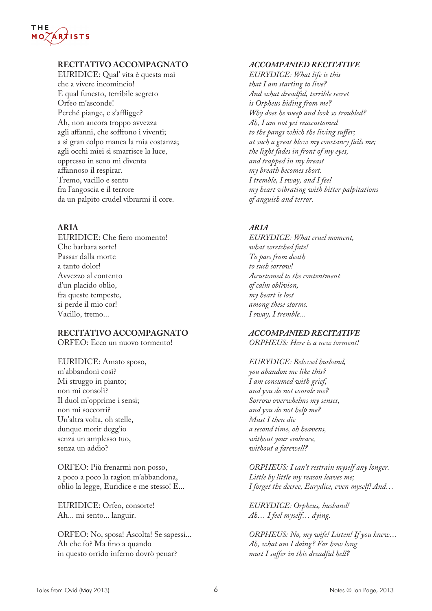## **THE**

#### **RECITATIVO ACCOMPAGNATO**

EURIDICE: Qual' vita è questa mai che a vivere incomincio! E qual funesto, terribile segreto Orfeo m'asconde! Perché piange, e s'affligge? Ah, non ancora troppo avvezza agli affanni, che soffrono i viventi; a sì gran colpo manca la mia costanza; agli occhi miei si smarrisce la luce, oppresso in seno mi diventa affannoso il respirar. Tremo, vacillo e sento fra l'angoscia e il terrore da un palpito crudel vibrarmi il core.

#### **ARIA**

EURIDICE: Che fiero momento! Che barbara sorte! Passar dalla morte a tanto dolor! Avvezzo al contento d'un placido oblio, fra queste tempeste, si perde il mio cor! Vacillo, tremo...

#### **RECITATIVO ACCOMPAGNATO**

ORFEO: Ecco un nuovo tormento!

EURIDICE: Amato sposo, m'abbandoni così? Mi struggo in pianto; non mi consoli? Il duol m'opprime i sensi; non mi soccorri? Un'altra volta, oh stelle, dunque morir degg'io senza un amplesso tuo, senza un addio?

ORFEO: Più frenarmi non posso, a poco a poco la ragion m'abbandona, oblio la legge, Euridice e me stesso! E...

EURIDICE: Orfeo, consorte! Ah... mi sento... languir.

ORFEO: No, sposa! Ascolta! Se sapessi... Ah che fo? Ma fino a quando in questo orrido inferno dovrò penar?

#### *ACCOMPANIED RECITATIVE*

*EURYDICE: What life is this that I am starting to live? And what dreadful, terrible secret is Orpheus hiding from me? Why does he weep and look so troubled? Ah, I am not yet reaccustomed to the pangs which the living suffer; at such a great blow my constancy fails me; the light fades in front of my eyes, and trapped in my breast my breath becomes short. I tremble, I sway, and I feel my heart vibrating with bitter palpitations of anguish and terror.*

#### *ARIA*

*EURYDICE: What cruel moment, what wretched fate! To pass from death to such sorrow! Accustomed to the contentment of calm oblivion, my heart is lost among these storms. I sway, I tremble...*

#### *ACCOMPANIED RECITATIVE*

*ORPHEUS: Here is a new torment!*

#### *EURYDICE: Beloved husband, you abandon me like this? I am consumed with grief, and you do not console me? Sorrow overwhelms my senses, and you do not help me? Must I then die a second time, oh heavens, without your embrace, without a farewell?*

*ORPHEUS: I can't restrain myself any longer. Little by little my reason leaves me; I forget the decree, Eurydice, even myself! And…* 

*EURYDICE: Orpheus, husband! Ah… I feel myself… dying.*

*ORPHEUS: No, my wife! Listen! If you knew… Ah, what am I doing? For how long must I suffer in this dreadful hell?*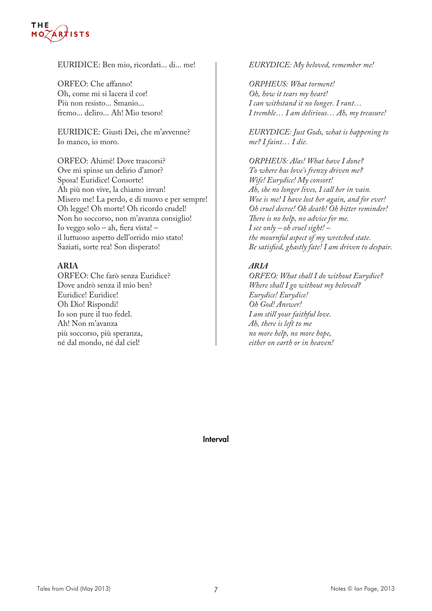#### **THF ARTISTS**

#### EURIDICE: Ben mio, ricordati... di... me!

ORFEO: Che affanno! Oh, come mi si lacera il cor! Più non resisto... Smanio... fremo... deliro... Ah! Mio tesoro!

EURIDICE: Giusti Dei, che m'avvenne? Io manco, io moro.

ORFEO: Ahimè! Dove trascorsi? Ove mi spinse un delirio d'amor? Sposa! Euridice! Consorte! Ah più non vive, la chiamo invan! Misero me! La perdo, e di nuovo e per sempre! Oh legge! Oh morte! Oh ricordo crudel! Non ho soccorso, non m'avanza consiglio! Io veggo solo – ah, fiera vista! – il luttuoso aspetto dell'orrido mio stato! Saziati, sorte rea! Son disperato!

#### **ARIA**

ORFEO: Che farò senza Euridice? Dove andrò senza il mio ben? Euridice! Euridice! Oh Dio! Rispondi! Io son pure il tuo fedel. Ah! Non m'avanza più soccorso, più speranza, né dal mondo, né dal ciel!

#### *EURYDICE: My beloved, remember me!*

*ORPHEUS: What torment! Oh, how it tears my heart! I can withstand it no longer. I rant… I tremble… I am delirious… Ah, my treasure!*

*EURYDICE: Just Gods, what is happening to me? I faint… I die.*

*ORPHEUS: Alas! What have I done? To where has love's frenzy driven me? Wife! Eurydice! My consort! Ah, she no longer lives, I call her in vain. Woe is me! I have lost her again, and for ever! Oh cruel decree! Oh death! Oh bitter reminder! There is no help, no advice for me. I see only – oh cruel sight! – the mournful aspect of my wretched state. Be satisfied, ghastly fate! I am driven to despair.*

#### *ARIA*

*ORFEO: What shall I do without Eurydice? Where shall I go without my beloved? Eurydice! Eurydice! Oh God! Answer! I am still your faithful love. Ah, there is left to me no more help, no more hope, either on earth or in heaven!*

Interval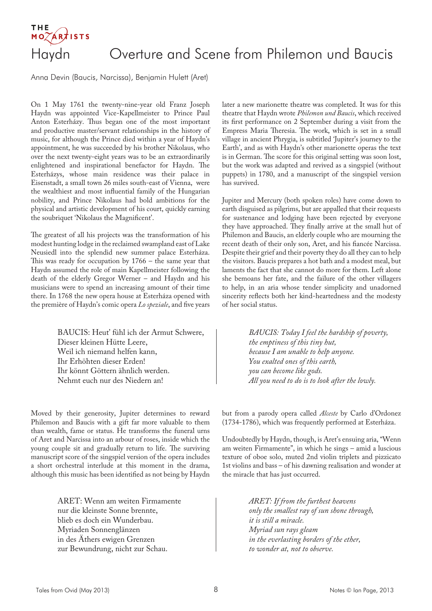# **ARTISTS**

### Haydn Overture and Scene from Philemon und Baucis

Anna Devin (Baucis, Narcissa), Benjamin Hulett (Aret)

On 1 May 1761 the twenty-nine-year old Franz Joseph Haydn was appointed Vice-Kapellmeister to Prince Paul Anton Esterházy. Thus began one of the most important and productive master/servant relationships in the history of music, for although the Prince died within a year of Haydn's appointment, he was succeeded by his brother Nikolaus, who over the next twenty-eight years was to be an extraordinarily enlightened and inspirational benefactor for Haydn. The Esterházys, whose main residence was their palace in Eisenstadt, a small town 26 miles south-east of Vienna, were the wealthiest and most influential family of the Hungarian nobility, and Prince Nikolaus had bold ambitions for the physical and artistic development of his court, quickly earning the soubriquet 'Nikolaus the Magnificent'.

The greatest of all his projects was the transformation of his modest hunting lodge in the reclaimed swampland east of Lake Neusiedl into the splendid new summer palace Esterháza. This was ready for occupation by 1766 – the same year that Haydn assumed the role of main Kapellmeister following the death of the elderly Gregor Werner – and Haydn and his musicians were to spend an increasing amount of their time there. In 1768 the new opera house at Esterháza opened with the première of Haydn's comic opera *Lo speziale*, and five years

> BAUCIS: Heut' fühl ich der Armut Schwere, Dieser kleinen Hütte Leere, Weil ich niemand helfen kann, Ihr Erhöhten dieser Erden! Ihr könnt Göttern ähnlich werden. Nehmt euch nur des Niedern an!

Moved by their generosity, Jupiter determines to reward Philemon and Baucis with a gift far more valuable to them than wealth, fame or status. He transforms the funeral urns of Aret and Narcissa into an arbour of roses, inside which the young couple sit and gradually return to life. The surviving manuscript score of the singspiel version of the opera includes a short orchestral interlude at this moment in the drama, although this music has been identified as not being by Haydn

> ARET: Wenn am weiten Firmamente nur die kleinste Sonne brennte, blieb es doch ein Wunderbau. Myriaden Sonnenglänzen in des Äthers ewigen Grenzen zur Bewundrung, nicht zur Schau.

later a new marionette theatre was completed. It was for this theatre that Haydn wrote *Philemon und Baucis*, which received its first performance on 2 September during a visit from the Empress Maria Theresia. The work, which is set in a small village in ancient Phrygia, is subtitled 'Jupiter's journey to the Earth', and as with Haydn's other marionette operas the text is in German. The score for this original setting was soon lost, but the work was adapted and revived as a singspiel (without puppets) in 1780, and a manuscript of the singspiel version has survived.

Jupiter and Mercury (both spoken roles) have come down to earth disguised as pilgrims, but are appalled that their requests for sustenance and lodging have been rejected by everyone they have approached. They finally arrive at the small hut of Philemon and Baucis, an elderly couple who are mourning the recent death of their only son, Aret, and his fiancée Narcissa. Despite their grief and their poverty they do all they can to help the visitors. Baucis prepares a hot bath and a modest meal, but laments the fact that she cannot do more for them. Left alone she bemoans her fate, and the failure of the other villagers to help, in an aria whose tender simplicity and unadorned sincerity reflects both her kind-heartedness and the modesty of her social status.

> *BAUCIS: Today I feel the hardship of poverty, the emptiness of this tiny hut, because I am unable to help anyone. You exalted ones of this earth, you can become like gods. All you need to do is to look after the lowly.*

but from a parody opera called *Alceste* by Carlo d'Ordonez (1734-1786), which was frequently performed at Esterháza.

Undoubtedly by Haydn, though, is Aret's ensuing aria, "Wenn am weiten Firmamente", in which he sings – amid a luscious texture of oboe solo, muted 2nd violin triplets and pizzicato 1st violins and bass – of his dawning realisation and wonder at the miracle that has just occurred.

> *ARET: If from the furthest heavens only the smallest ray of sun shone through, it is still a miracle. Myriad sun rays gleam in the everlasting borders of the ether, to wonder at, not to observe.*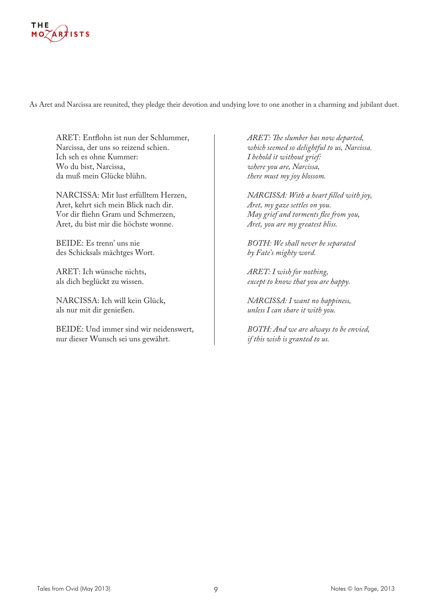

As Aret and Narcissa are reunited, they pledge their devotion and undying love to one another in a charming and jubilant duet.

ARET: Entflohn ist nun der Schlummer, Narcissa, der uns so reizend schien. Ich seh es ohne Kummer: Wo du bist, Narcissa, da muß mein Glücke blühn.

NARCISSA: Mit lust erfülltem Herzen, Aret, kehrt sich mein Blick nach dir. Vor dir fliehn Gram und Schmerzen, Aret, du bist mir die höchste wonne.

BEIDE: Es trenn' uns nie des Schicksals mächtges Wort.

ARET: Ich wünsche nichts, als dich beglückt zu wissen.

NARCISSA: Ich will kein Glück, als nur mit dir genießen.

BEIDE: Und immer sind wir neidenswert, nur dieser Wunsch sei uns gewährt.

*ARET: The slumber has now departed, which seemed so delightful to us, Narcissa. I behold it without grief: where you are, Narcissa, there must my joy blossom.*

*NARCISSA: With a heart filled with joy, Aret, my gaze settles on you. May grief and torments flee from you, Aret, you are my greatest bliss.*

*BOTH: We shall never be separated by Fate's mighty word.*

*ARET: I wish for nothing, except to know that you are happy.*

*NARCISSA: I want no happiness, unless I can share it with you.*

*BOTH: And we are always to be envied, if this wish is granted to us.*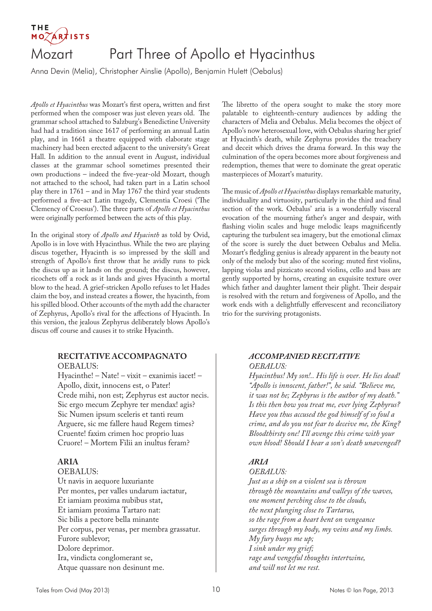#### THE **ÁR**†ISTS Mozart Part Three of Apollo et Hyacinthus

Anna Devin (Melia), Christopher Ainslie (Apollo), Benjamin Hulett (Oebalus)

*Apollo et Hyacinthus* was Mozart's first opera, written and first performed when the composer was just eleven years old. The grammar school attached to Salzburg's Benedictine University had had a tradition since 1617 of performing an annual Latin play, and in 1661 a theatre equipped with elaborate stage machinery had been erected adjacent to the university's Great Hall. In addition to the annual event in August, individual classes at the grammar school sometimes presented their own productions – indeed the five-year-old Mozart, though not attached to the school, had taken part in a Latin school play there in 1761 – and in May 1767 the third year students performed a five-act Latin tragedy, Clementia Croesi ('The Clemency of Croesus'). The three parts of *Apollo et Hyacinthus*  were originally performed between the acts of this play.

In the original story of *Apollo and Hyacinth* as told by Ovid, Apollo is in love with Hyacinthus. While the two are playing discus together, Hyacinth is so impressed by the skill and strength of Apollo's first throw that he avidly runs to pick the discus up as it lands on the ground; the discus, however, ricochets off a rock as it lands and gives Hyacinth a mortal blow to the head. A grief-stricken Apollo refuses to let Hades claim the boy, and instead creates a flower, the hyacinth, from his spilled blood. Other accounts of the myth add the character of Zephyrus, Apollo's rival for the affections of Hyacinth. In this version, the jealous Zephyrus deliberately blows Apollo's discus off course and causes it to strike Hyacinth.

#### **RECITATIVE ACCOMPAGNATO**

OEBALUS:

Hyacinthe! – Nate! – vixit – exanimis iacet! – Apollo, dixit, innocens est, o Pater! Crede mihi, non est; Zephyrus est auctor necis. Sic ergo mecum Zephyre ter mendax! agis? Sic Numen ipsum sceleris et tanti reum Arguere, sic me fallere haud Regem times? Cruente! faxim crimen hoc proprio luas Cruore! – Mortem Filii an inultus feram?

#### **ARIA**

OEBALUS: Ut navis in aequore luxuriante Per montes, per valles undarum iactatur, Et iamiam proxima nubibus stat, Et iamiam proxima Tartaro nat: Sic bilis a pectore bella minante Per corpus, per venas, per membra grassatur. Furore sublevor; Dolore deprimor. Ira, vindicta conglomerant se, Atque quassare non desinunt me.

The libretto of the opera sought to make the story more palatable to eighteenth-century audiences by adding the characters of Melia and Oebalus. Melia becomes the object of Apollo's now heterosexual love, with Oebalus sharing her grief at Hyacinth's death, while Zephyrus provides the treachery and deceit which drives the drama forward. In this way the culmination of the opera becomes more about forgiveness and redemption, themes that were to dominate the great operatic masterpieces of Mozart's maturity.

The music of *Apollo et Hyacinthus* displays remarkable maturity, individuality and virtuosity, particularly in the third and final section of the work. Oebalus' aria is a wonderfully visceral evocation of the mourning father's anger and despair, with flashing violin scales and huge melodic leaps magnificently capturing the turbulent sea imagery, but the emotional climax of the score is surely the duet between Oebalus and Melia. Mozart's fledgling genius is already apparent in the beauty not only of the melody but also of the scoring: muted first violins, lapping violas and pizzicato second violins, cello and bass are gently supported by horns, creating an exquisite texture over which father and daughter lament their plight. Their despair is resolved with the return and forgiveness of Apollo, and the work ends with a delightfully effervescent and reconciliatory trio for the surviving protagonists.

#### *ACCOMPANIED RECITATIVE OEBALUS:*

*Hyacinthus! My son!.. His life is over. He lies dead! "Apollo is innocent, father!", he said. "Believe me, it was not he; Zephyrus is the author of my death." Is this then how you treat me, ever lying Zephyrus? Have you thus accused the god himself of so foul a crime, and do you not fear to deceive me, the King? Bloodthirsty one! I'll avenge this crime with your own blood! Should I bear a son's death unavenged?*

#### *ARIA*

*OEBALUS: Just as a ship on a violent sea is thrown through the mountains and valleys of the waves, one moment perching close to the clouds, the next plunging close to Tartarus, so the rage from a heart bent on vengeance surges through my body, my veins and my limbs. My fury buoys me up; I sink under my grief; rage and vengeful thoughts intertwine, and will not let me rest.*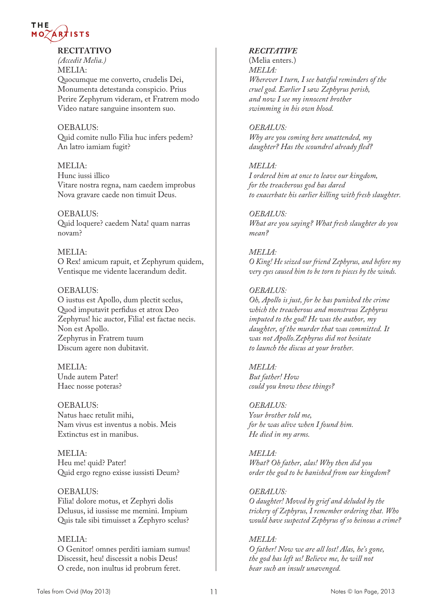

#### **RECITATIVO**

*(Accedit Melia.)* MELIA: Quocumque me converto, crudelis Dei, Monumenta detestanda conspicio. Prius Perire Zephyrum videram, et Fratrem modo Video natare sanguine insontem suo.

#### OEBALUS:

Quid comite nullo Filia huc infers pedem? An latro iamiam fugit?

#### MELIA:

Hunc iussi illico Vitare nostra regna, nam caedem improbus Nova gravare caede non timuit Deus.

#### OEBALUS:

Quid loquere? caedem Nata! quam narras novam?

#### MELIA:

O Rex! amicum rapuit, et Zephyrum quidem, Ventisque me vidente lacerandum dedit.

#### OEBALUS:

O iustus est Apollo, dum plectit scelus, Quod imputavit perfidus et atrox Deo Zephyrus! hic auctor, Filia! est factae necis. Non est Apollo. Zephyrus in Fratrem tuum Discum agere non dubitavit.

MELIA: Unde autem Pater! Haec nosse poteras?

OEBALUS: Natus haec retulit mihi, Nam vivus est inventus a nobis. Meis Extinctus est in manibus.

MELIA: Heu me! quid? Pater! Quid ergo regno exisse iussisti Deum?

OEBALUS: Filia! dolore motus, et Zephyri dolis Delusus, id iussisse me memini. Impium Quis tale sibi timuisset a Zephyro scelus?

#### MELIA: O Genitor! omnes perditi iamiam sumus! Discessit, heu! discessit a nobis Deus! O crede, non inultus id probrum feret.

#### *RECITATIVE*

(Melia enters.) *MELIA: Wherever I turn, I see hateful reminders of the cruel god. Earlier I saw Zephyrus perish, and now I see my innocent brother swimming in his own blood.*

#### *OEBALUS:*

*Why are you coming here unattended, my daughter? Has the scoundrel already fled?*

#### *MELIA:*

*I ordered him at once to leave our kingdom, for the treacherous god has dared to exacerbate his earlier killing with fresh slaughter.*

*OEBALUS: What are you saying? What fresh slaughter do you mean?*

#### *MELIA:*

*O King! He seized our friend Zephyrus, and before my very eyes caused him to be torn to pieces by the winds.*

#### *OEBALUS:*

*Oh, Apollo is just, for he has punished the crime which the treacherous and monstrous Zephyrus imputed to the god! He was the author, my daughter, of the murder that was committed. It was not Apollo.Zephyrus did not hesitate to launch the discus at your brother.*

#### *MELIA:*

*But father! How could you know these things?*

*OEBALUS: Your brother told me, for he was alive when I found him. He died in my arms.*

*MELIA: What? Oh father, alas! Why then did you order the god to be banished from our kingdom?*

#### *OEBALUS:*

*O daughter! Moved by grief and deluded by the trickery of Zephyrus, I remember ordering that. Who would have suspected Zephyrus of so heinous a crime?*

#### *MELIA:*

*O father! Now we are all lost! Alas, he's gone, the god has left us! Believe me, he will not bear such an insult unavenged.*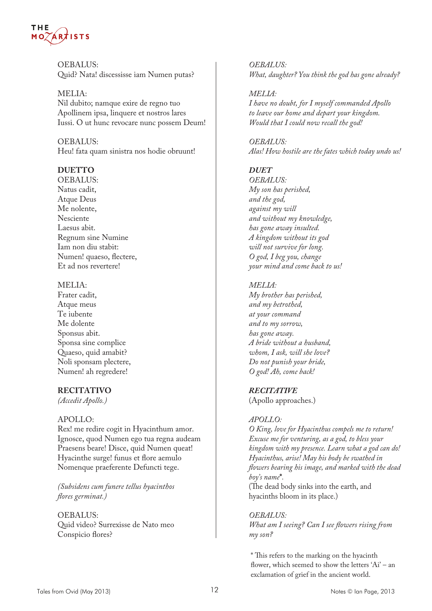

OEBALUS: Quid? Nata! discessisse iam Numen putas?

MELIA: Nil dubito; namque exire de regno tuo Apollinem ipsa, linquere et nostros lares Iussi. O ut hunc revocare nunc possem Deum!

OEBALUS: Heu! fata quam sinistra nos hodie obruunt!

#### **DUETTO**

OEBALUS: Natus cadit, Atque Deus Me nolente, Nesciente Laesus abit. Regnum sine Numine Iam non diu stabit: Numen! quaeso, flectere, Et ad nos revertere!

#### MELIA:

Frater cadit, Atque meus Te iubente Me dolente Sponsus abit. Sponsa sine complice Quaeso, quid amabit? Noli sponsam plectere, Numen! ah regredere!

#### **RECITATIVO**

*(Accedit Apollo.)*

#### APOLLO:

Rex! me redire cogit in Hyacinthum amor. Ignosce, quod Numen ego tua regna audeam Praesens beare! Disce, quid Numen queat! Hyacinthe surge! funus et flore aemulo Nomenque praeferente Defuncti tege.

*(Subsidens cum funere tellus hyacinthos flores germinat.)*

OEBALUS: Quid video? Surrexisse de Nato meo Conspicio flores?

*OEBALUS: What, daughter? You think the god has gone already?*

*MELIA: I have no doubt, for I myself commanded Apollo to leave our home and depart your kingdom. Would that I could now recall the god!*

*OEBALUS: Alas! How hostile are the fates which today undo us!*

#### *DUET*

*OEBALUS: My son has perished, and the god, against my will and without my knowledge, has gone away insulted. A kingdom without its god will not survive for long. O god, I beg you, change your mind and come back to us!*

#### *MELIA:*

*My brother has perished, and my betrothed, at your command and to my sorrow, has gone away. A bride without a husband, whom, I ask, will she love? Do not punish your bride, O god! Ah, come back!*

#### *RECITATIVE*

(Apollo approaches.)

#### *APOLLO:*

*O King, love for Hyacinthus compels me to return! Excuse me for venturing, as a god, to bless your kingdom with my presence. Learn what a god can do! Hyacinthus, arise! May his body be swathed in flowers bearing his image, and marked with the dead boy's name***\****.* (The dead body sinks into the earth, and hyacinths bloom in its place.)

#### *OEBALUS:*

*What am I seeing? Can I see flowers rising from my son?*

\* This refers to the marking on the hyacinth flower, which seemed to show the letters 'Ai' – an exclamation of grief in the ancient world.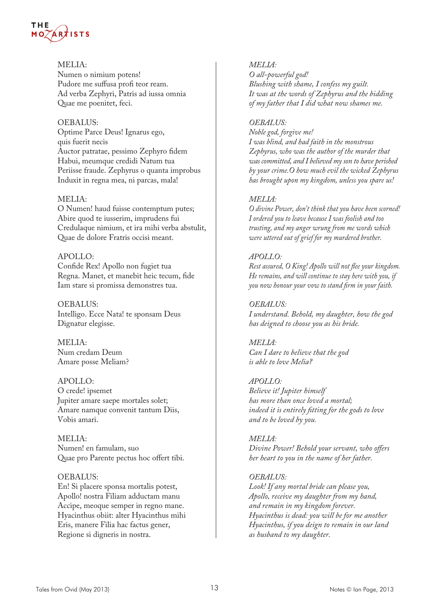

#### MELIA:

Numen o nimium potens! Pudore me suffusa profi teor ream. Ad verba Zephyri, Patris ad iussa omnia Quae me poenitet, feci.

#### OEBALUS:

Optime Parce Deus! Ignarus ego, quis fuerit necis Auctor patratae, pessimo Zephyro fidem Habui, meumque credidi Natum tua Periisse fraude. Zephyrus o quanta improbus Induxit in regna mea, ni parcas, mala!

#### MELIA:

O Numen! haud fuisse contemptum putes; Abire quod te iusserim, imprudens fui Credulaque nimium, et ira mihi verba abstulit, Quae de dolore Fratris occisi meant.

#### APOLLO:

Confide Rex! Apollo non fugiet tua Regna. Manet, et manebit heic tecum, fide Iam stare si promissa demonstres tua.

OEBALUS: Intelligo. Ecce Nata! te sponsam Deus Dignatur elegisse.

MELIA: Num credam Deum Amare posse Meliam?

APOLLO: O crede! ipsemet Jupiter amare saepe mortales solet; Amare namque convenit tantum Diis, Vobis amari.

MELIA: Numen! en famulam, suo Quae pro Parente pectus hoc offert tibi.

#### OEBALUS:

En! Si placere sponsa mortalis potest, Apollo! nostra Filiam adductam manu Accipe, meoque semper in regno mane. Hyacinthus obiit: alter Hyacinthus mihi Eris, manere Filia hac factus gener, Regione si digneris in nostra.

#### *MELIA:*

*O all-powerful god! Blushing with shame, I confess my guilt. It was at the words of Zephyrus and the bidding of my father that I did what now shames me.*

#### *OEBALUS:*

*Noble god, forgive me! I was blind, and had faith in the monstrous Zephyrus, who was the author of the murder that was committed, and I believed my son to have perished by your crime.O how much evil the wicked Zephyrus has brought upon my kingdom, unless you spare us!*

#### *MELIA:*

*O divine Power, don't think that you have been scorned! I ordered you to leave because I was foolish and too trusting, and my anger wrung from me words which were uttered out of grief for my murdered brother.*

#### *APOLLO:*

*Rest assured, O King! Apollo will not flee your kingdom. He remains, and will continue to stay here with you, if you now honour your vow to stand firm in your faith.*

#### *OEBALUS:*

*I understand. Behold, my daughter, how the god has deigned to choose you as his bride.*

#### *MELIA: Can I dare to believe that the god is able to love Melia?*

#### *APOLLO:*

*Believe it! Jupiter himself has more than once loved a mortal; indeed it is entirely fitting for the gods to love and to be loved by you.*

#### *MELIA:*

*Divine Power! Behold your servant, who offers her heart to you in the name of her father.*

#### *OEBALUS:*

*Look! If any mortal bride can please you, Apollo, receive my daughter from my hand, and remain in my kingdom forever. Hyacinthus is dead: you will be for me another Hyacinthus, if you deign to remain in our land as husband to my daughter.*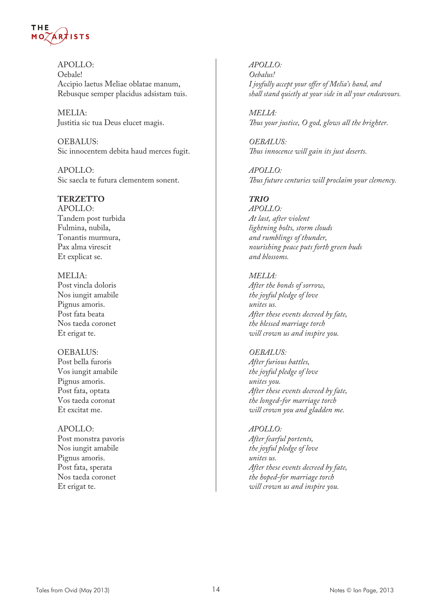

APOLLO: Oebale! Accipio laetus Meliae oblatae manum, Rebusque semper placidus adsistam tuis.

MELIA: Justitia sic tua Deus elucet magis.

OEBALUS: Sic innocentem debita haud merces fugit.

APOLLO: Sic saecla te futura clementem sonent.

#### **TERZETTO**

APOLLO: Tandem post turbida Fulmina, nubila, Tonantis murmura, Pax alma virescit Et explicat se.

MELIA: Post vincla doloris Nos iungit amabile Pignus amoris. Post fata beata Nos taeda coronet Et erigat te.

#### OEBALUS:

Post bella furoris Vos iungit amabile Pignus amoris. Post fata, optata Vos taeda coronat Et excitat me.

APOLLO: Post monstra pavoris Nos iungit amabile Pignus amoris. Post fata, sperata Nos taeda coronet Et erigat te.

*APOLLO: Oebalus! I joyfully accept your offer of Melia's hand, and shall stand quietly at your side in all your endeavours.*

*MELIA: Thus your justice, O god, glows all the brighter.*

*OEBALUS: Thus innocence will gain its just deserts.*

*APOLLO: Thus future centuries will proclaim your clemency.*

#### *TRIO*

*APOLLO: At last, after violent lightning bolts, storm clouds and rumblings of thunder, nourishing peace puts forth green buds and blossoms.*

#### *MELIA:*

*After the bonds of sorrow, the joyful pledge of love unites us. After these events decreed by fate, the blessed marriage torch will crown us and inspire you.*

#### *OEBALUS:*

*After furious battles, the joyful pledge of love unites you. After these events decreed by fate, the longed-for marriage torch will crown you and gladden me.*

#### *APOLLO:*

*After fearful portents, the joyful pledge of love unites us. After these events decreed by fate, the hoped-for marriage torch will crown us and inspire you.*